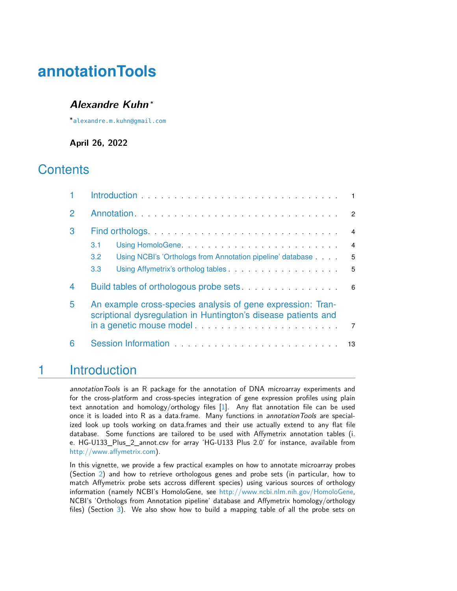# **annotationTools**

#### **Alexandre Kuhn** <sup>∗</sup>

∗ [alexandre.m.kuhn@gmail.com](mailto:alexandre.m.kuhn@gmail.com)

**April 26, 2022**

### **Contents**

|               | Introduction <b>Example 20</b> in the contract of the contract of the contract of the contract of the contract of the contract of the contract of the contract of the contract of the contract of the contract of the contract of t                                |                |  |  |  |
|---------------|--------------------------------------------------------------------------------------------------------------------------------------------------------------------------------------------------------------------------------------------------------------------|----------------|--|--|--|
| $\mathcal{P}$ |                                                                                                                                                                                                                                                                    | $\overline{2}$ |  |  |  |
| 3             |                                                                                                                                                                                                                                                                    | $\overline{4}$ |  |  |  |
|               | 3.1                                                                                                                                                                                                                                                                | $\overline{4}$ |  |  |  |
|               | Using NCBI's 'Orthologs from Annotation pipeline' database<br>$3.2^{\circ}$                                                                                                                                                                                        | 5              |  |  |  |
|               | Using Affymetrix's ortholog tables <b>Constanting Affymetrix's ortholog tables</b><br>3.3                                                                                                                                                                          | $-5$           |  |  |  |
| 4             |                                                                                                                                                                                                                                                                    |                |  |  |  |
| 5             | An example cross-species analysis of gene expression: Tran-<br>scriptional dysregulation in Huntington's disease patients and<br>in a genetic mouse model entertainment of the set of the set of the set of the set of the set of the set of the<br>$\overline{7}$ |                |  |  |  |
| 6             | Session Information<br>Session Information                                                                                                                                                                                                                         | 13             |  |  |  |

### <span id="page-0-0"></span>1 Introduction

annotation Tools is an R package for the annotation of DNA microarray experiments and for the cross-platform and cross-species integration of gene expression profiles using plain text annotation and homology/orthology files [\[1\]](#page-13-0). Any flat annotation file can be used once it is loaded into R as a data.frame. Many functions in annotation Tools are specialized look up tools working on data.frames and their use actually extend to any flat file database. Some functions are tailored to be used with Affymetrix annotation tables (i. e. HG-U133\_Plus\_2\_annot.csv for array 'HG-U133 Plus 2.0' for instance, available from [http://www.affymetrix.com\)](http://www.affymetrix.com).

In this vignette, we provide a few practical examples on how to annotate microarray probes (Section [2\)](#page-1-0) and how to retrieve orthologous genes and probe sets (in particular, how to match Affymetrix probe sets accross different species) using various sources of orthology information (namely NCBI's HomoloGene, see [http://www.ncbi.nlm.nih.gov/HomoloGene,](http://www.ncbi.nlm.nih.gov/HomoloGene) NCBI's 'Orthologs from Annotation pipeline' database and Affymetrix homology/orthology files) (Section [3\)](#page-3-0). We also show how to build a mapping table of all the probe sets on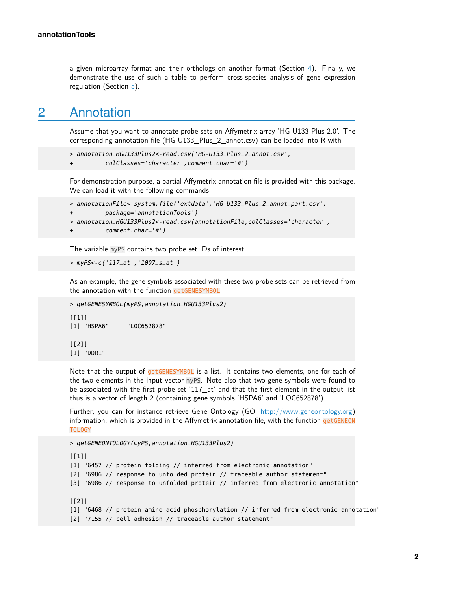<span id="page-1-0"></span>a given microarray format and their orthologs on another format (Section [4\)](#page-5-0). Finally, we demonstrate the use of such a table to perform cross-species analysis of gene expression regulation (Section [5\)](#page-6-0).

### 2 Annotation

Assume that you want to annotate probe sets on Affymetrix array 'HG-U133 Plus 2.0'. The corresponding annotation file (HG-U133\_Plus\_2\_annot.csv) can be loaded into R with

```
> annotation_HGU133Plus2<-read.csv('HG-U133_Plus_2_annot.csv',
```

```
+ colClasses='character',comment.char='#')
```
For demonstration purpose, a partial Affymetrix annotation file is provided with this package. We can load it with the following commands

```
> annotationFile<-system.file('extdata','HG-U133_Plus_2_annot_part.csv',
```

```
+ package='annotationTools')
```

```
> annotation_HGU133Plus2<-read.csv(annotationFile,colClasses='character',
```

```
comment.char='#')
```
The variable myPS contains two probe set IDs of interest

```
> myPS<-c('117_at','1007_s_at')
```
As an example, the gene symbols associated with these two probe sets can be retrieved from the annotation with the function getGENESYMBOL

```
> getGENESYMBOL(myPS,annotation_HGU133Plus2)
[1]]
[1] "HSPA6" "LOC652878"
[[2]]
[1] "DDR1"
```
Note that the output of getGENESYMBOL is a list. It contains two elements, one for each of the two elements in the input vector myPS. Note also that two gene symbols were found to be associated with the first probe set '117\_at' and that the first element in the output list thus is a vector of length 2 (containing gene symbols 'HSPA6' and 'LOC652878').

Further, you can for instance retrieve Gene Ontology (GO, [http://www.geneontology.org\)](http://www.geneontology.org) information, which is provided in the Affymetrix annotation file, with the function getGENEON TOLOGY

```
> getGENEONTOLOGY(myPS,annotation_HGU133Plus2)
[1]]
[1] "6457 // protein folding // inferred from electronic annotation"
[2] "6986 // response to unfolded protein // traceable author statement"
[3] "6986 // response to unfolded protein // inferred from electronic annotation"
[[2]]
[1] "6468 // protein amino acid phosphorylation // inferred from electronic annotation"
[2] "7155 // cell adhesion // traceable author statement"
```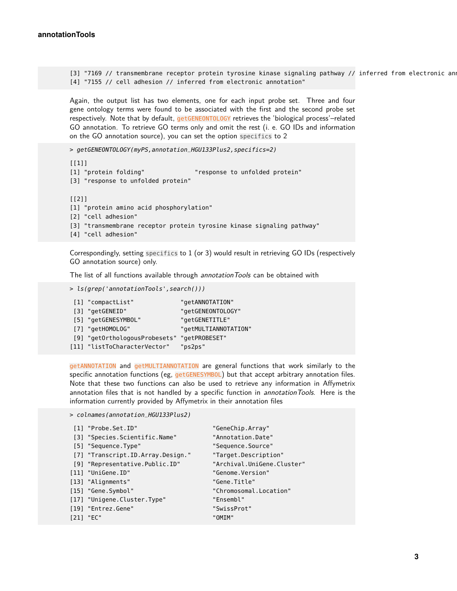[3] "7169 // transmembrane receptor protein tyrosine kinase signaling pathway // inferred from electronic and [4] "7155 // cell adhesion // inferred from electronic annotation"

Again, the output list has two elements, one for each input probe set. Three and four gene ontology terms were found to be associated with the first and the second probe set respectively. Note that by default, getGENEONTOLOGY retrieves the 'biological process'-related GO annotation. To retrieve GO terms only and omit the rest (i. e. GO IDs and information on the GO annotation source), you can set the option specifics to 2

> getGENEONTOLOGY(myPS,annotation\_HGU133Plus2,specifics=2)

```
[1]]
[1] "protein folding" "response to unfolded protein"
[3] "response to unfolded protein"
[[2]]
[1] "protein amino acid phosphorylation"
[2] "cell adhesion"
[3] "transmembrane receptor protein tyrosine kinase signaling pathway"
[4] "cell adhesion"
```
Correspondingly, setting specifics to 1 (or 3) would result in retrieving GO IDs (respectively GO annotation source) only.

The list of all functions available through annotation Tools can be obtained with

```
> ls(grep('annotationTools',search()))
```

| [1] "compactList"             | "getANNOTATION"      |
|-------------------------------|----------------------|
| [3] "getGENEID"               | "getGENEONTOLOGY"    |
| [5] "getGENESYMBOL"           | "getGENETITLE"       |
| [7] "getHOMOLOG"              | "getMULTIANNOTATION" |
| [9] "getOrthologousProbesets" | "getPROBESET"        |
| [11] "listToCharacterVector"  | "ps2ps"              |

getANNOTATION and getMULTIANNOTATION are general functions that work similarly to the specific annotation functions (eg,  $getGENESYMBOL$ ) but that accept arbitrary annotation files. Note that these two functions can also be used to retrieve any information in Affymetrix annotation files that is not handled by a specific function in annotation Tools. Here is the information currently provided by Affymetrix in their annotation files

```
> colnames(annotation_HGU133Plus2)
```

| [1] "Probe.Set.ID"                | "GeneChip.Array"           |
|-----------------------------------|----------------------------|
|                                   |                            |
| [3] "Species.Scientific.Name"     | "Annotation.Date"          |
| [5] "Sequence.Type"               | "Sequence.Source"          |
| [7] "Transcript.ID.Array.Design." | "Target.Description"       |
| [9] "Representative.Public.ID"    | "Archival.UniGene.Cluster" |
| [11] "UniGene.ID"                 | "Genome.Version"           |
| [13] "Alignments"                 | "Gene.Title"               |
| [15] "Gene.Symbol"                | "Chromosomal.Location"     |
| [17] "Unigene.Cluster.Type"       | "Ensembl"                  |
| [19] "Entrez.Gene"                | "SwissProt"                |
| $[21]$ "EC"                       | "OMIM"                     |
|                                   |                            |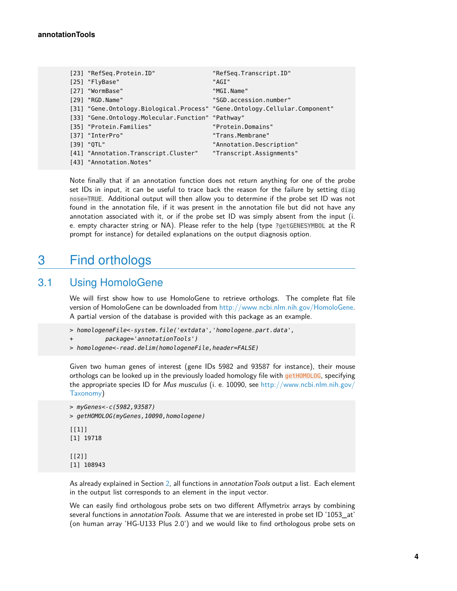| [23] "RefSeq.Protein.ID"                                                   | "RefSeq.Transcript.ID"   |
|----------------------------------------------------------------------------|--------------------------|
| [25] "FlyBase"                                                             | "AGI"                    |
| [27] "WormBase"                                                            | "MGI.Name"               |
| [29] "RGD.Name"                                                            | "SGD.accession.number"   |
| [31] "Gene.Ontology.Biological.Process" "Gene.Ontology.Cellular.Component" |                          |
| [33] "Gene.Ontology.Molecular.Function" "Pathway"                          |                          |
| [35] "Protein. Families"                                                   | "Protein.Domains"        |
| [37] "InterPro"                                                            | "Trans.Membrane"         |
| [39] "OTL"                                                                 | "Annotation.Description" |
| [41] "Annotation. Transcript. Cluster"                                     | "Transcript.Assignments" |
| [43] "Annotation.Notes"                                                    |                          |

Note finally that if an annotation function does not return anything for one of the probe set IDs in input, it can be useful to trace back the reason for the failure by setting diag nose=TRUE. Additional output will then allow you to determine if the probe set ID was not found in the annotation file, if it was present in the annotation file but did not have any annotation associated with it, or if the probe set ID was simply absent from the input (i. e. empty character string or NA). Please refer to the help (type ?getGENESYMBOL at the R prompt for instance) for detailed explanations on the output diagnosis option.

### <span id="page-3-0"></span>3 Find orthologs

#### 3.1 Using HomoloGene

<span id="page-3-1"></span>We will first show how to use HomoloGene to retrieve orthologs. The complete flat file version of HomoloGene can be downloaded from [http://www.ncbi.nlm.nih.gov/HomoloGene.](http://www.ncbi.nlm.nih.gov/HomoloGene) A partial version of the database is provided with this package as an example.

```
> homologeneFile<-system.file('extdata','homologene_part.data',
```

```
+ package='annotationTools')
```

```
> homologene<-read.delim(homologeneFile,header=FALSE)
```
Given two human genes of interest (gene IDs 5982 and 93587 for instance), their mouse orthologs can be looked up in the previously loaded homology file with getHOMOLOG, specifying the appropriate species ID for Mus musculus (i. e. 10090, see [http://www.ncbi.nlm.nih.gov/](http://www.ncbi.nlm.nih.gov/Taxonomy) [Taxonomy\)](http://www.ncbi.nlm.nih.gov/Taxonomy)

```
> myGenes<-c(5982,93587)
> getHOMOLOG(myGenes,10090,homologene)
[1]]
[1] 19718
[[2]]
[1] 108943
```
As already explained in Section [2,](#page-1-0) all functions in annotation Tools output a list. Each element in the output list corresponds to an element in the input vector.

We can easily find orthologous probe sets on two different Affymetrix arrays by combining several functions in annotation Tools. Assume that we are interested in probe set ID '1053\_at' (on human array 'HG-U133 Plus 2.0') and we would like to find orthologous probe sets on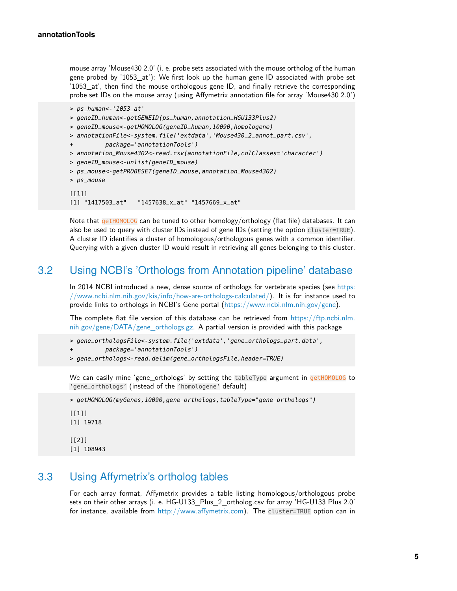mouse array 'Mouse430 2.0' (i. e. probe sets associated with the mouse ortholog of the human gene probed by '1053\_at'): We first look up the human gene ID associated with probe set '1053\_at', then find the mouse orthologous gene ID, and finally retrieve the corresponding probe set IDs on the mouse array (using Affymetrix annotation file for array 'Mouse430 2.0')

```
> ps_human<-'1053_at'
> geneID_human<-getGENEID(ps_human,annotation_HGU133Plus2)
> geneID_mouse<-getHOMOLOG(geneID_human,10090,homologene)
> annotationFile<-system.file('extdata','Mouse430_2_annot_part.csv',
+ package='annotationTools')
> annotation_Mouse4302<-read.csv(annotationFile,colClasses='character')
> geneID_mouse<-unlist(geneID_mouse)
> ps_mouse<-getPROBESET(geneID_mouse,annotation_Mouse4302)
> ps_mouse
[[1]]
[1] "1417503_at" "1457638_x_at" "1457669_x_at"
```
Note that getHOMOLOG can be tuned to other homology/orthology (flat file) databases. It can also be used to query with cluster IDs instead of gene IDs (setting the option cluster=TRUE). A cluster ID identifies a cluster of homologous/orthologous genes with a common identifier. Querying with a given cluster ID would result in retrieving all genes belonging to this cluster.

#### 3.2 Using NCBI's 'Orthologs from Annotation pipeline' database

<span id="page-4-0"></span>In 2014 NCBI introduced a new, dense source of orthologs for vertebrate species (see [https:](https://www.ncbi.nlm.nih.gov/kis/info/how-are-orthologs-calculated/) [//www.ncbi.nlm.nih.gov/kis/info/how-are-orthologs-calculated/\)](https://www.ncbi.nlm.nih.gov/kis/info/how-are-orthologs-calculated/). It is for instance used to provide links to orthologs in NCBI's Gene portal [\(https://www.ncbi.nlm.nih.gov/gene\)](https://www.ncbi.nlm.nih.gov/gene).

The complete flat file version of this database can be retrieved from [https://ftp.ncbi.nlm.](https://ftp.ncbi.nlm.nih.gov/gene/DATA/gene_orthologs.gz) [nih.gov/gene/DATA/gene\\_orthologs.gz.](https://ftp.ncbi.nlm.nih.gov/gene/DATA/gene_orthologs.gz) A partial version is provided with this package

```
> gene_orthologsFile<-system.file('extdata','gene_orthologs_part.data',
```

```
+ package='annotationTools')
```

```
> gene_orthologs<-read.delim(gene_orthologsFile,header=TRUE)
```
We can easily mine 'gene\_orthologs' by setting the tableType argument in getHOMOLOG to 'gene\_orthologs' (instead of the 'homologene' default)

> getHOMOLOG(myGenes,10090,gene\_orthologs,tableType="gene\_orthologs")

 $[1]$ ] [1] 19718 [[2]]

#### <span id="page-4-1"></span>[1] 108943

### 3.3 Using Affymetrix's ortholog tables

For each array format, Affymetrix provides a table listing homologous/orthologous probe sets on their other arrays (i. e. HG-U133\_Plus\_2\_ortholog.csv for array 'HG-U133 Plus 2.0' for instance, available from [http://www.affymetrix.com\)](http://www.affymetrix.com). The cluster=TRUE option can in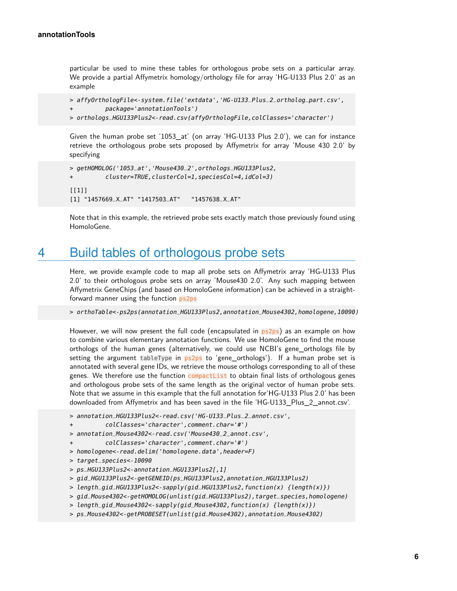particular be used to mine these tables for orthologous probe sets on a particular array. We provide a partial Affymetrix homology/orthology file for array 'HG-U133 Plus 2.0' as an example

```
> affyOrthologFile<-system.file('extdata','HG-U133_Plus_2_ortholog_part.csv',
          + package='annotationTools')
> orthologs_HGU133Plus2<-read.csv(affyOrthologFile,colClasses='character')
```
Given the human probe set '1053\_at' (on array 'HG-U133 Plus 2.0'), we can for instance retrieve the orthologous probe sets proposed by Affymetrix for array 'Mouse 430 2.0' by specifying

```
> getHOMOLOG('1053_at','Mouse430_2',orthologs_HGU133Plus2,
+ cluster=TRUE,clusterCol=1,speciesCol=4,idCol=3)
[[1]]
[1] "1457669_X_AT" "1417503_AT" "1457638_X_AT"
```
<span id="page-5-0"></span>Note that in this example, the retrieved probe sets exactly match those previously found using HomoloGene.

### 4 Build tables of orthologous probe sets

Here, we provide example code to map all probe sets on Affymetrix array 'HG-U133 Plus 2.0' to their orthologous probe sets on array 'Mouse430 2.0'. Any such mapping between Affymetrix GeneChips (and based on HomoloGene information) can be achieved in a straightforward manner using the function ps2ps

> orthoTable<-ps2ps(annotation\_HGU133Plus2,annotation\_Mouse4302,homologene,10090)

However, we will now present the full code (encapsulated in  $ps2ps$ ) as an example on how to combine various elementary annotation functions. We use HomoloGene to find the mouse orthologs of the human genes (alternatively, we could use NCBI's gene\_orthologs file by setting the argument tableType in  $ps2ps$  to 'gene\_orthologs'). If a human probe set is annotated with several gene IDs, we retrieve the mouse orthologs corresponding to all of these genes. We therefore use the function compactList to obtain final lists of orthologous genes and orthologous probe sets of the same length as the original vector of human probe sets. Note that we assume in this example that the full annotation for'HG-U133 Plus 2.0' has been downloaded from Affymetrix and has been saved in the file 'HG-U133\_Plus\_2\_annot.csv'.

```
> annotation_HGU133Plus2<-read.csv('HG-U133_Plus_2_annot.csv',
```

```
+ colClasses='character',comment.char='#')
```

```
> annotation_Mouse4302<-read.csv('Mouse430_2_annot.csv',
```

```
+ colClasses='character',comment.char='#')
```
- > homologene<-read.delim('homologene.data',header=F)
- > target\_species<-10090

```
> ps_HGU133Plus2<-annotation_HGU133Plus2[,1]
```
> gid\_HGU133Plus2<-getGENEID(ps\_HGU133Plus2,annotation\_HGU133Plus2)

```
> length_gid_HGU133Plus2<-sapply(gid_HGU133Plus2,function(x) {length(x)})
```
- > gid\_Mouse4302<-getHOMOLOG(unlist(gid\_HGU133Plus2),target\_species,homologene)
- > length\_gid\_Mouse4302<-sapply(gid\_Mouse4302, function(x) {length(x)})
- > ps\_Mouse4302<-getPROBESET(unlist(gid\_Mouse4302),annotation\_Mouse4302)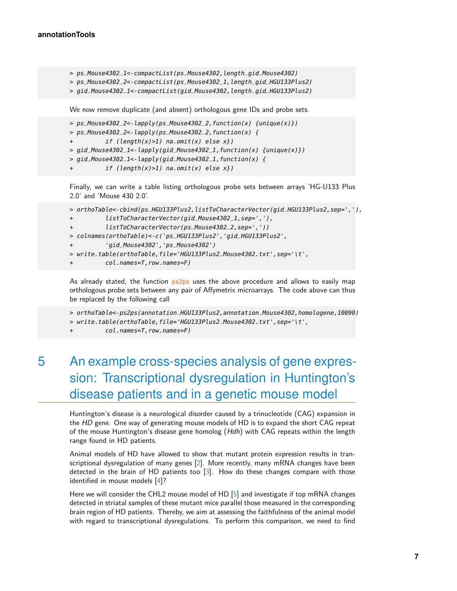```
> ps_Mouse4302_1<-compactList(ps_Mouse4302,length_gid_Mouse4302)
> ps_Mouse4302_2<-compactList(ps_Mouse4302_1,length_gid_HGU133Plus2)
> gid_Mouse4302_1<-compactList(gid_Mouse4302,length_gid_HGU133Plus2)
```
We now remove duplicate (and absent) orthologous gene IDs and probe sets.

```
> ps_Mouse4302_2<-lapply(ps_Mouse4302_2, function(x) {unique(x)})
> ps_Mouse4302_2<-lapply(ps_Mouse4302_2,function(x) {
          if (length(x)=1) na.omit(x) else x})
> gid_Mouse4302_1 <- \text{lapply}(gid_Mouse4302_1, function(x) \{unique(x)\})> gid_Mouse4302_1<-lapply(gid_Mouse4302_1,function(x) {
          if (length(x)=1) na.omit(x) else x})
```
Finally, we can write a table listing orthologous probe sets between arrays 'HG-U133 Plus 2.0' and 'Mouse 430 2.0'.

```
> orthoTable<-cbind(ps_HGU133Plus2,listToCharacterVector(gid_HGU133Plus2,sep=','),
+ listToCharacterVector(gid_Mouse4302_1,sep=','),
+ listToCharacterVector(ps_Mouse4302_2,sep=','))
> colnames(orthoTable)<-c('ps_HGU133Plus2','gid_HGU133Plus2',
+ 'gid_Mouse4302','ps_Mouse4302')
> write.table(orthoTable,file='HGU133Plus2_Mouse4302.txt',sep='\t',
         col.names=T, row.names=F)
```
As already stated, the function  $p_2p_2$  uses the above procedure and allows to easily map orthologous probe sets between any pair of Affymetrix microarrays. The code above can thus be replaced by the following call

> orthoTable<-ps2ps(annotation\_HGU133Plus2,annotation\_Mouse4302,homologene,10090) > write.table(orthoTable,file='HGU133Plus2\_Mouse4302.txt',sep='\t',

<span id="page-6-0"></span>col.names=T,row.names=F)

## 5 An example cross-species analysis of gene expression: Transcriptional dysregulation in Huntington's disease patients and in a genetic mouse model

Huntington's disease is a neurological disorder caused by a trinucleotide (CAG) expansion in the HD gene. One way of generating mouse models of HD is to expand the short CAG repeat of the mouse Huntington's disease gene homolog (Hdh) with CAG repeats within the length range found in HD patients.

Animal models of HD have allowed to show that mutant protein expression results in transcriptional dysregulation of many genes [\[2\]](#page-13-1). More recently, many mRNA changes have been detected in the brain of HD patients too [\[3\]](#page-13-2). How do these changes compare with those identified in mouse models [\[4\]](#page-13-3)?

Here we will consider the CHL2 mouse model of HD [\[5\]](#page-14-0) and investigate if top mRNA changes detected in striatal samples of these mutant mice parallel those measured in the corresponding brain region of HD patients. Thereby, we aim at assessing the faithfulness of the animal model with regard to transcriptional dysregulations. To perform this comparison, we need to find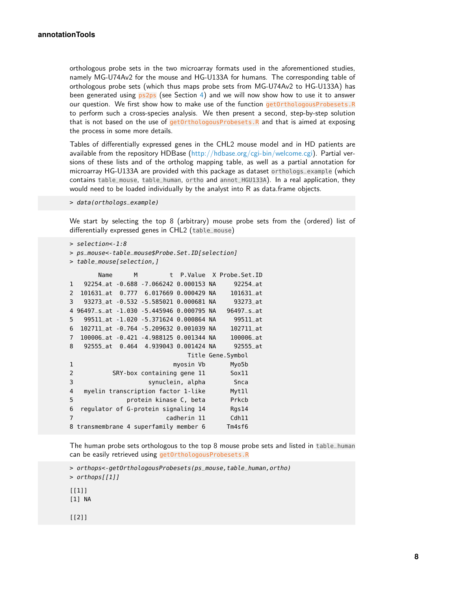orthologous probe sets in the two microarray formats used in the aforementioned studies, namely MG-U74Av2 for the mouse and HG-U133A for humans. The corresponding table of orthologous probe sets (which thus maps probe sets from MG-U74Av2 to HG-U133A) has been generated using  $ps2ps$  (see Section [4\)](#page-5-0) and we will now show how to use it to answer our question. We first show how to make use of the function getOrthologousProbesets.R to perform such a cross-species analysis. We then present a second, step-by-step solution that is not based on the use of  $getOrthologousProbesets.$  R and that is aimed at exposing the process in some more details.

Tables of differentially expressed genes in the CHL2 mouse model and in HD patients are available from the repository HDBase [\(http://hdbase.org/cgi-bin/welcome.cgi\)](http://hdbase.org/cgi-bin/welcome.cgi). Partial versions of these lists and of the ortholog mapping table, as well as a partial annotation for microarray HG-U133A are provided with this package as dataset orthologs\_example (which contains table\_mouse, table\_human, ortho and annot\_HGU133A). In a real application, they would need to be loaded individually by the analyst into R as data.frame objects.

> data(orthologs\_example)

We start by selecting the top 8 (arbitrary) mouse probe sets from the (ordered) list of differentially expressed genes in CHL2 (table\_mouse)

```
> selection<-1:8
```

```
> ps_mouse<-table_mouse$Probe.Set.ID[selection]
```
> table\_mouse[selection,]

|                | Name                                    | M |                                        |                  | t P.Value X Probe.Set.ID |
|----------------|-----------------------------------------|---|----------------------------------------|------------------|--------------------------|
| $\mathbf{1}$   |                                         |   | 92254_at -0.688 -7.066242 0.000153 NA  |                  | 92254_at                 |
| 2              |                                         |   | 101631_at 0.777 6.017669 0.000429 NA   |                  | 101631_at                |
| 3              |                                         |   | 93273_at -0.532 -5.585021 0.000681 NA  |                  | 93273_at                 |
| 4              | 96497_s_at -1.030 -5.445946 0.000795 NA |   |                                        |                  | $96497$ _s_at            |
| 5              |                                         |   | 99511_at -1.020 -5.371624 0.000864 NA  |                  | 99511_at                 |
| 6              |                                         |   | 102711_at -0.764 -5.209632 0.001039 NA |                  | 102711_at                |
| $\overline{7}$ |                                         |   | 100006_at -0.421 -4.988125 0.001344 NA |                  | 100006_at                |
| 8              |                                         |   | 92555_at 0.464 4.939043 0.001424 NA    |                  | 92555_at                 |
|                |                                         |   |                                        |                  | Title Gene.Symbol        |
|                |                                         |   |                                        | myosin Vb        | Myo5b                    |
| 1              |                                         |   |                                        |                  |                          |
| 2              |                                         |   | SRY-box containing gene 11             |                  | Sox11                    |
| 3              |                                         |   |                                        | synuclein, alpha | Snca                     |
| 4              |                                         |   | myelin transcription factor 1-like     |                  | Myt1l                    |
| 5              |                                         |   | protein kinase C, beta                 |                  | Prkcb                    |
| 6              |                                         |   | regulator of G-protein signaling 14    |                  | Rgs14                    |
| 7              |                                         |   |                                        | cadherin 11      | Cdh11                    |

The human probe sets orthologous to the top 8 mouse probe sets and listed in table\_human can be easily retrieved using getOrthologousProbesets.R

> orthops<-getOrthologousProbesets(ps\_mouse,table\_human,ortho)

> orthops[[1]]

 $[1]$ ]

[1] NA

[[2]]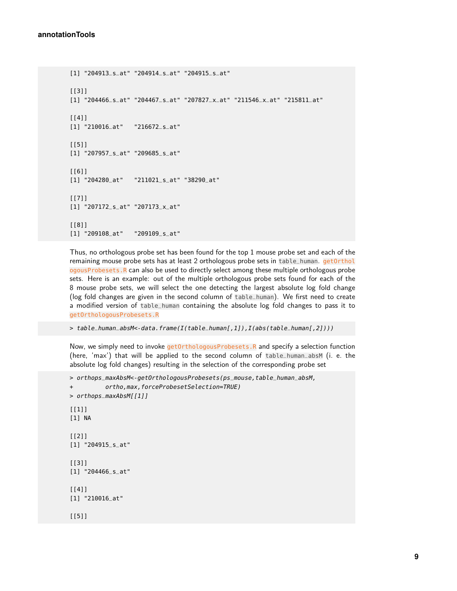```
[1] "204913_s_at" "204914_s_at" "204915_s_at"
[[3]]
[1] "204466_s_at" "204467_s_at" "207827_x_at" "211546_x_at" "215811_at"
[[4]]
[1] "210016_at" "216672_s_at"
[[5]]
[1] "207957_s_at" "209685_s_at"
[[6]]
[1] "204280_at" "211021_s_at" "38290_at"
[[7]]
[1] "207172_s_at" "207173_x_at"
[[8]]
[1] "209108_at" "209109_s_at"
```
Thus, no orthologous probe set has been found for the top 1 mouse probe set and each of the remaining mouse probe sets has at least 2 orthologous probe sets in table\_human. getOrthol ogousProbesets.R can also be used to directly select among these multiple orthologous probe sets. Here is an example: out of the multiple orthologous probe sets found for each of the 8 mouse probe sets, we will select the one detecting the largest absolute log fold change (log fold changes are given in the second column of table\_human). We first need to create a modified version of table\_human containing the absolute log fold changes to pass it to getOrthologousProbesets.R

> table\_human\_absM<-data.frame(I(table\_human[,1]),I(abs(table\_human[,2])))

Now, we simply need to invoke getOrthologousProbesets.R and specify a selection function (here, 'max') that will be applied to the second column of table\_human\_absM (i. e. the absolute log fold changes) resulting in the selection of the corresponding probe set

```
> orthops_maxAbsM<-getOrthologousProbesets(ps_mouse,table_human_absM,
+ ortho,max,forceProbesetSelection=TRUE)
> orthops_maxAbsM[[1]]
[1]]
[1] NA
[[2]]
[1] "204915_s_at"
[[3]]
[1] "204466_s_at"
[[4]]
[1] "210016_at"
[[5]]
```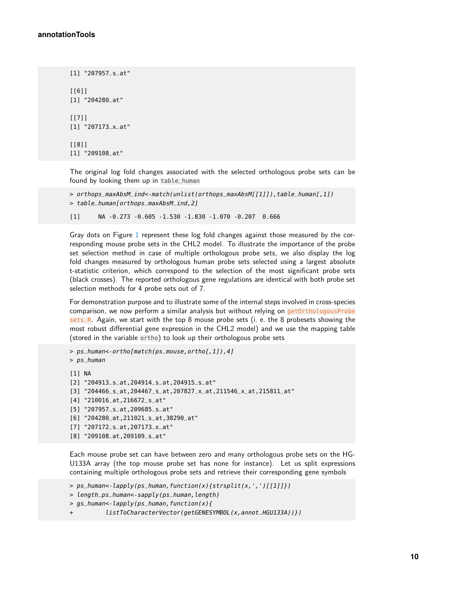```
[1] "207957_s_at"
[[6]]
[1] "204280_at"
[[7]]
[1] "207173_x_at"
[[8]]
[1] "209108_at"
```
The original log fold changes associated with the selected orthologous probe sets can be found by looking them up in table\_human

```
> orthops_maxAbsM_ind<-match(unlist(orthops_maxAbsM[[1]]),table_human[,1])
> table_human[orthops_maxAbsM_ind,2]
```
[1] NA -0.273 -0.605 -1.530 -1.830 -1.070 -0.207 0.666

Gray dots on Figure [1](#page-10-0) represent these log fold changes against those measured by the corresponding mouse probe sets in the CHL2 model. To illustrate the importance of the probe set selection method in case of multiple orthologous probe sets, we also display the log fold changes measured by orthologous human probe sets selected using a largest absolute t-statistic criterion, which correspond to the selection of the most significant probe sets (black crosses). The reported orthologous gene regulations are identical with both probe set selection methods for 4 probe sets out of 7.

For demonstration purpose and to illustrate some of the internal steps involved in cross-species comparison, we now perform a similar analysis but without relying on getOrthologousProbe sets.R. Again, we start with the top 8 mouse probe sets (i. e. the 8 probesets showing the most robust differential gene expression in the CHL2 model) and we use the mapping table (stored in the variable ortho) to look up their orthologous probe sets

```
> ps_human<-ortho[match(ps_mouse,ortho[,1]),4]
> ps_human
[1] NA
[2] "204913_s_at,204914_s_at,204915_s_at"
[3] "204466_s_at,204467_s_at,207827_x_at,211546_x_at,215811_at"
[4] "210016_at,216672_s_at"
[5] "207957_s_at,209685_s_at"
[6] "204280_at,211021_s_at,38290_at"
[7] "207172_s_at,207173_x_at"
[8] "209108_at,209109_s_at"
```
Each mouse probe set can have between zero and many orthologous probe sets on the HG-U133A array (the top mouse probe set has none for instance). Let us split expressions containing multiple orthologous probe sets and retrieve their corresponding gene symbols

```
> ps_human<-lapply(ps_human,function(x){strsplit(x,',')[[1]]})
```

```
> length_ps_human<-sapply(ps_human,length)
```

```
> gs_human<-lapply(ps_human, function(x){
```

```
+ listToCharacterVector(getGENESYMBOL(x,annot_HGU133A))})
```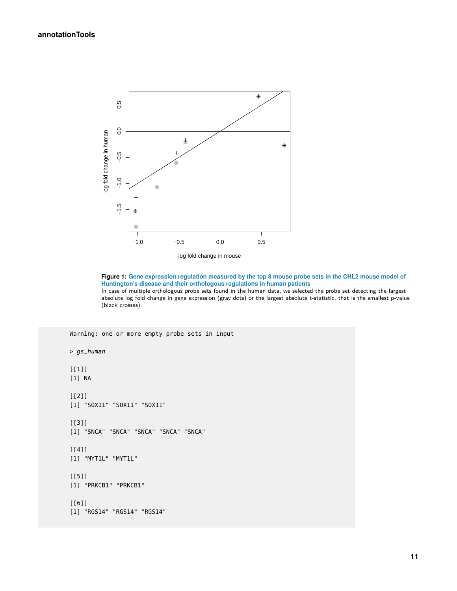<span id="page-10-0"></span>

log fold change in mouse

**Figure 1: Gene expression regulation measured by the top 8 mouse probe sets in the CHL2 mouse model of Huntington's disease and their orthologous regulations in human patients** In case of multiple orthologous probe sets found in the human data, we selected the probe set detecting the largest absolute log fold change in gene expression (gray dots) or the largest absolute t-statistic, that is the smallest p-value (black crosses).

Warning: one or more empty probe sets in input

> gs\_human [[1]] [1] NA  $[$ [2]] [1] "SOX11" "SOX11" "SOX11" [[3]] [1] "SNCA" "SNCA" "SNCA" "SNCA" "SNCA" [[4]] [1] "MYT1L" "MYT1L" [[5]] [1] "PRKCB1" "PRKCB1" [[6]] [1] "RGS14" "RGS14" "RGS14"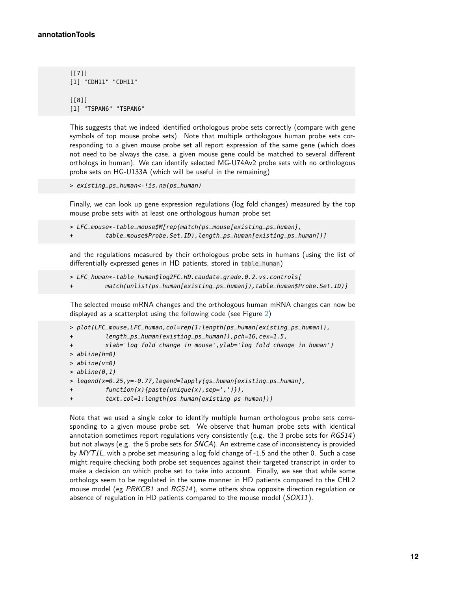```
[[7]]
[1] "CDH11" "CDH11"
[[8]]
[1] "TSPAN6" "TSPAN6"
```
This suggests that we indeed identified orthologous probe sets correctly (compare with gene symbols of top mouse probe sets). Note that multiple orthologous human probe sets corresponding to a given mouse probe set all report expression of the same gene (which does not need to be always the case, a given mouse gene could be matched to several different orthologs in human). We can identify selected MG-U74Av2 probe sets with no orthologous probe sets on HG-U133A (which will be useful in the remaining)

> existing\_ps\_human <-!is.na(ps\_human)

Finally, we can look up gene expression regulations (log fold changes) measured by the top mouse probe sets with at least one orthologous human probe set

> LFC\_mouse<-table\_mouse\$M[rep(match(ps\_mouse[existing\_ps\_human], table\_mouse\$Probe.Set.ID),length\_ps\_human[existing\_ps\_human])]

and the regulations measured by their orthologous probe sets in humans (using the list of differentially expressed genes in HD patients, stored in table\_human)

```
> LFC_human<-table_human$log2FC.HD.caudate.grade.0.2.vs.controls[
```

```
+ match(unlist(ps_human[existing_ps_human]),table_human$Probe.Set.ID)]
```
The selected mouse mRNA changes and the orthologous human mRNA changes can now be displayed as a scatterplot using the following code (see Figure [2\)](#page-12-1)

```
> plot(LFC_mouse,LFC_human,col=rep(1:length(ps_human[existing_ps_human]),
+ length_ps_human[existing_ps_human]),pch=16,cex=1.5,
+ xlab='log fold change in mouse',ylab='log fold change in human')
> abline(h=0)
> abline(v=0)
> abline(0,1)
> legend(x=0.25,y=-0.77,legend=lapply(gs_human[existing_ps_human],
+ function(x){paste(unique(x),sep=',')}),
+ text.col=1:length(ps_human[existing_ps_human]))
```
Note that we used a single color to identify multiple human orthologous probe sets corresponding to a given mouse probe set. We observe that human probe sets with identical annotation sometimes report regulations very consistently (e.g. the 3 probe sets for  $RGS14$ ) but not always (e.g. the 5 probe sets for SNCA). An extreme case of inconsistency is provided by MYT1L, with a probe set measuring a log fold change of -1.5 and the other 0. Such a case might require checking both probe set sequences against their targeted transcript in order to make a decision on which probe set to take into account. Finally, we see that while some orthologs seem to be regulated in the same manner in HD patients compared to the CHL2 mouse model (eg PRKCB1 and RGS14), some others show opposite direction regulation or absence of regulation in HD patients compared to the mouse model  $(SOX11)$ .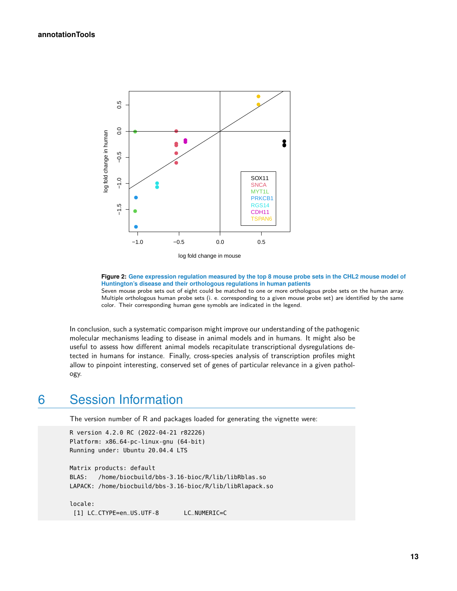<span id="page-12-1"></span>



**Figure 2: Gene expression regulation measured by the top 8 mouse probe sets in the CHL2 mouse model of Huntington's disease and their orthologous regulations in human patients** Seven mouse probe sets out of eight could be matched to one or more orthologous probe sets on the human array. Multiple orthologous human probe sets (i. e. corresponding to a given mouse probe set) are identified by the same color. Their corresponding human gene symobls are indicated in the legend.

In conclusion, such a systematic comparison might improve our understanding of the pathogenic molecular mechanisms leading to disease in animal models and in humans. It might also be useful to assess how different animal models recapitulate transcriptional dysregulations detected in humans for instance. Finally, cross-species analysis of transcription profiles might allow to pinpoint interesting, conserved set of genes of particular relevance in a given pathology.

### <span id="page-12-0"></span>6 Session Information

The version number of R and packages loaded for generating the vignette were:

```
R version 4.2.0 RC (2022-04-21 r82226)
Platform: x86_64-pc-linux-gnu (64-bit)
Running under: Ubuntu 20.04.4 LTS
```

```
Matrix products: default
BLAS: /home/biocbuild/bbs-3.16-bioc/R/lib/libRblas.so
LAPACK: /home/biocbuild/bbs-3.16-bioc/R/lib/libRlapack.so
```
locale: [1] LC\_CTYPE=en\_US.UTF-8 LC\_NUMERIC=C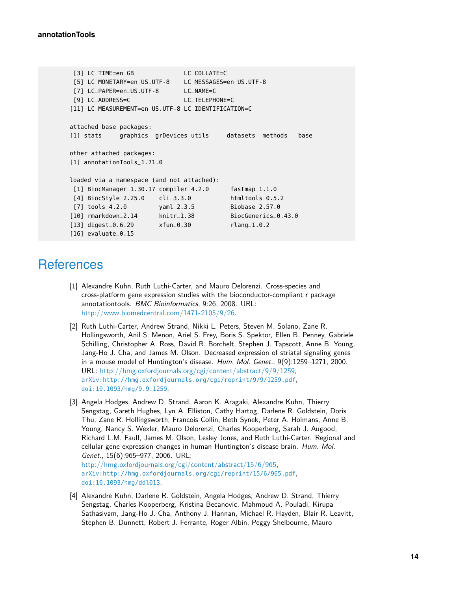```
[3] LC_TIME=en_GB LC_COLLATE=C
[5] LC_MONETARY=en_US.UTF-8 LC_MESSAGES=en_US.UTF-8
[7] LC_PAPER=en_US.UTF-8 LC_NAME=C
[9] LC_ADDRESS=C LC_TELEPHONE=C
[11] LC_MEASUREMENT=en_US.UTF-8 LC_IDENTIFICATION=C
attached base packages:
[1] stats graphics grDevices utils datasets methods base
other attached packages:
[1] annotationTools_1.71.0
loaded via a namespace (and not attached):
[1] BiocManager_1.30.17 compiler_4.2.0 fastmap_1.1.0
[4] BiocStyle_2.25.0 cli_3.3.0 htmltools_0.5.2
[7] tools_4.2.0 yaml_2.3.5 Biobase_2.57.0
[10] rmarkdown_2.14 knitr_1.38 BiocGenerics_0.43.0
[13] digest_0.6.29 xfun_0.30 rlang_1.0.2
[16] evaluate_0.15
```
### **References**

- <span id="page-13-0"></span>[1] Alexandre Kuhn, Ruth Luthi-Carter, and Mauro Delorenzi. Cross-species and cross-platform gene expression studies with the bioconductor-compliant r package annotationtools. BMC Bioinformatics, 9:26, 2008. URL: [http://www.biomedcentral.com/1471-2105/9/26.](http://www.biomedcentral.com/1471-2105/9/26)
- <span id="page-13-1"></span>[2] Ruth Luthi-Carter, Andrew Strand, Nikki L. Peters, Steven M. Solano, Zane R. Hollingsworth, Anil S. Menon, Ariel S. Frey, Boris S. Spektor, Ellen B. Penney, Gabriele Schilling, Christopher A. Ross, David R. Borchelt, Stephen J. Tapscott, Anne B. Young, Jang-Ho J. Cha, and James M. Olson. Decreased expression of striatal signaling genes in a mouse model of Huntington's disease. Hum. Mol. Genet., 9(9):1259–1271, 2000. URL: [http://hmg.oxfordjournals.org/cgi/content/abstract/9/9/1259,](http://hmg.oxfordjournals.org/cgi/content/abstract/9/9/1259) [arXiv:http://hmg.oxfordjournals.org/cgi/reprint/9/9/1259.pdf](http://arxiv.org/abs/http://hmg.oxfordjournals.org/cgi/reprint/9/9/1259.pdf), [doi:10.1093/hmg/9.9.1259](http://dx.doi.org/10.1093/hmg/9.9.1259).
- <span id="page-13-2"></span>[3] Angela Hodges, Andrew D. Strand, Aaron K. Aragaki, Alexandre Kuhn, Thierry Sengstag, Gareth Hughes, Lyn A. Elliston, Cathy Hartog, Darlene R. Goldstein, Doris Thu, Zane R. Hollingsworth, Francois Collin, Beth Synek, Peter A. Holmans, Anne B. Young, Nancy S. Wexler, Mauro Delorenzi, Charles Kooperberg, Sarah J. Augood, Richard L.M. Faull, James M. Olson, Lesley Jones, and Ruth Luthi-Carter. Regional and cellular gene expression changes in human Huntington's disease brain. Hum. Mol. Genet., 15(6):965–977, 2006. URL: [http://hmg.oxfordjournals.org/cgi/content/abstract/15/6/965,](http://hmg.oxfordjournals.org/cgi/content/abstract/15/6/965) [arXiv:http://hmg.oxfordjournals.org/cgi/reprint/15/6/965.pdf](http://arxiv.org/abs/http://hmg.oxfordjournals.org/cgi/reprint/15/6/965.pdf), [doi:10.1093/hmg/ddl013](http://dx.doi.org/10.1093/hmg/ddl013).
- <span id="page-13-3"></span>[4] Alexandre Kuhn, Darlene R. Goldstein, Angela Hodges, Andrew D. Strand, Thierry Sengstag, Charles Kooperberg, Kristina Becanovic, Mahmoud A. Pouladi, Kirupa Sathasivam, Jang-Ho J. Cha, Anthony J. Hannan, Michael R. Hayden, Blair R. Leavitt, Stephen B. Dunnett, Robert J. Ferrante, Roger Albin, Peggy Shelbourne, Mauro